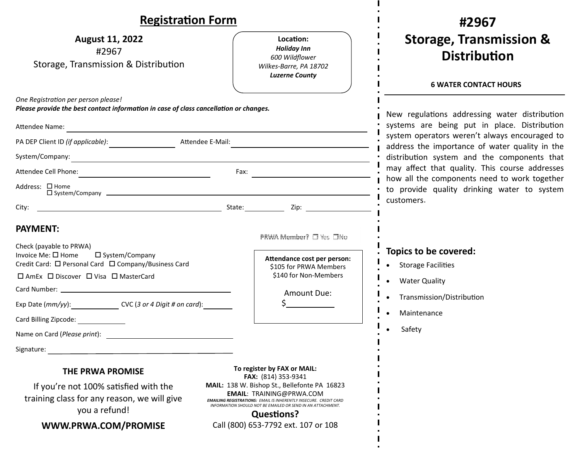| <b>Registration Form</b>                                                                                                                                                                                                                      |                                                                                                                                                                                                                                                 | #2967                                                                                                                                                                                            |
|-----------------------------------------------------------------------------------------------------------------------------------------------------------------------------------------------------------------------------------------------|-------------------------------------------------------------------------------------------------------------------------------------------------------------------------------------------------------------------------------------------------|--------------------------------------------------------------------------------------------------------------------------------------------------------------------------------------------------|
| <b>August 11, 2022</b><br>#2967<br>Storage, Transmission & Distribution                                                                                                                                                                       | Location:<br><b>Holiday Inn</b><br>600 Wildflower<br>Wilkes-Barre, PA 18702<br><b>Luzerne County</b>                                                                                                                                            | <b>Storage, Transmission &amp;</b><br><b>Distribution</b><br><b>6 WATER CONTACT HOURS</b>                                                                                                        |
| One Registration per person please!<br>Please provide the best contact information in case of class cancellation or changes.<br>Attendee Name:                                                                                                |                                                                                                                                                                                                                                                 | New regulations addressing water distribution<br>systems are being put in place. Distribution<br>system operators weren't always encouraged to<br>address the importance of water quality in the |
| Attendee E-Mail:                                                                                                                                                                                                                              |                                                                                                                                                                                                                                                 |                                                                                                                                                                                                  |
| System/Company:                                                                                                                                                                                                                               | <u> 1989 - Johann Stein, marwolaethau a bhann an t-Amhainn an t-Amhainn an t-Amhainn an t-Amhainn an t-Amhainn a</u>                                                                                                                            | distribution system and the components that                                                                                                                                                      |
|                                                                                                                                                                                                                                               |                                                                                                                                                                                                                                                 | may affect that quality. This course addresses<br>how all the components need to work together<br>to provide quality drinking water to system<br>customers.                                      |
| Address: □ Home<br>$\square$ System/Company $\square$                                                                                                                                                                                         |                                                                                                                                                                                                                                                 |                                                                                                                                                                                                  |
| City:<br><u>in the contract of the contract of the contract of the contract of the contract of the contract of the contract of the contract of the contract of the contract of the contract of the contract of the contract of the contra</u> |                                                                                                                                                                                                                                                 |                                                                                                                                                                                                  |
| <b>PAYMENT:</b><br>Check (payable to PRWA)                                                                                                                                                                                                    | PRWA Member? □ Yes □No                                                                                                                                                                                                                          | Topics to be covered:                                                                                                                                                                            |
| Invoice Me: $\square$ Home<br>□ System/Company<br>Credit Card: □ Personal Card □ Company/Business Card<br>□ AmEx □ Discover □ Visa □ MasterCard                                                                                               | Attendance cost per person:<br>\$105 for PRWA Members<br>\$140 for Non-Members                                                                                                                                                                  | • Storage Facilities<br>• Water Quality                                                                                                                                                          |
| Exp Date (mm/yy): CVC (3 or 4 Digit # on card):                                                                                                                                                                                               | Amount Due:                                                                                                                                                                                                                                     | Transmission/Distribution<br>Maintenance                                                                                                                                                         |
| Card Billing Zipcode:                                                                                                                                                                                                                         |                                                                                                                                                                                                                                                 | Safety                                                                                                                                                                                           |
| Name on Card (Please print):                                                                                                                                                                                                                  |                                                                                                                                                                                                                                                 |                                                                                                                                                                                                  |
| Signature:                                                                                                                                                                                                                                    |                                                                                                                                                                                                                                                 |                                                                                                                                                                                                  |
| <b>THE PRWA PROMISE</b>                                                                                                                                                                                                                       | To register by FAX or MAIL:<br>FAX: (814) 353-9341                                                                                                                                                                                              |                                                                                                                                                                                                  |
| If you're not 100% satisfied with the<br>training class for any reason, we will give<br>you a refund!                                                                                                                                         | MAIL: 138 W. Bishop St., Bellefonte PA 16823<br><b>EMAIL: TRAINING@PRWA.COM</b><br><b>EMAILING REGISTRATIONS: EMAIL IS INHERENTLY INSECURE. CREDIT CARD</b><br>INFORMATION SHOULD NOT BE EMAILED OR SEND IN AN ATTACHMENT.<br><b>Questions?</b> |                                                                                                                                                                                                  |
| WWW.PRWA.COM/PROMISE                                                                                                                                                                                                                          | Call (800) 653-7792 ext. 107 or 108                                                                                                                                                                                                             |                                                                                                                                                                                                  |

 $\mathbf{I}$